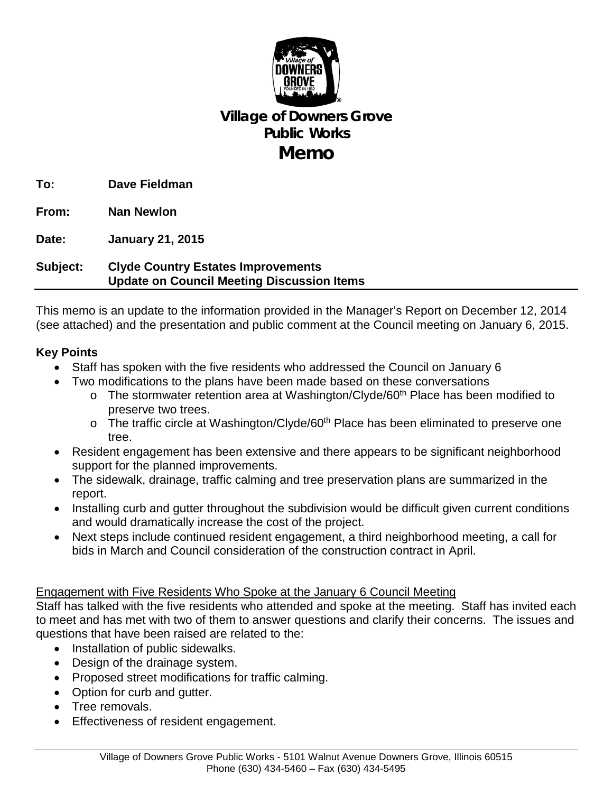

# **Village of Downers Grove Public Works Memo**

**To: Dave Fieldman**

**From: Nan Newlon**

**Date: January 21, 2015**

## **Subject: Clyde Country Estates Improvements Update on Council Meeting Discussion Items**

This memo is an update to the information provided in the Manager's Report on December 12, 2014 (see attached) and the presentation and public comment at the Council meeting on January 6, 2015.

### **Key Points**

- Staff has spoken with the five residents who addressed the Council on January 6
- Two modifications to the plans have been made based on these conversations
	- $\circ$  The stormwater retention area at Washington/Clyde/60<sup>th</sup> Place has been modified to preserve two trees.
	- $\circ$  The traffic circle at Washington/Clyde/60<sup>th</sup> Place has been eliminated to preserve one tree.
- Resident engagement has been extensive and there appears to be significant neighborhood support for the planned improvements.
- The sidewalk, drainage, traffic calming and tree preservation plans are summarized in the report.
- Installing curb and gutter throughout the subdivision would be difficult given current conditions and would dramatically increase the cost of the project.
- Next steps include continued resident engagement, a third neighborhood meeting, a call for bids in March and Council consideration of the construction contract in April.

### Engagement with Five Residents Who Spoke at the January 6 Council Meeting

Staff has talked with the five residents who attended and spoke at the meeting. Staff has invited each to meet and has met with two of them to answer questions and clarify their concerns. The issues and questions that have been raised are related to the:

- Installation of public sidewalks.
- Design of the drainage system.
- Proposed street modifications for traffic calming.
- Option for curb and gutter.
- Tree removals.
- Effectiveness of resident engagement.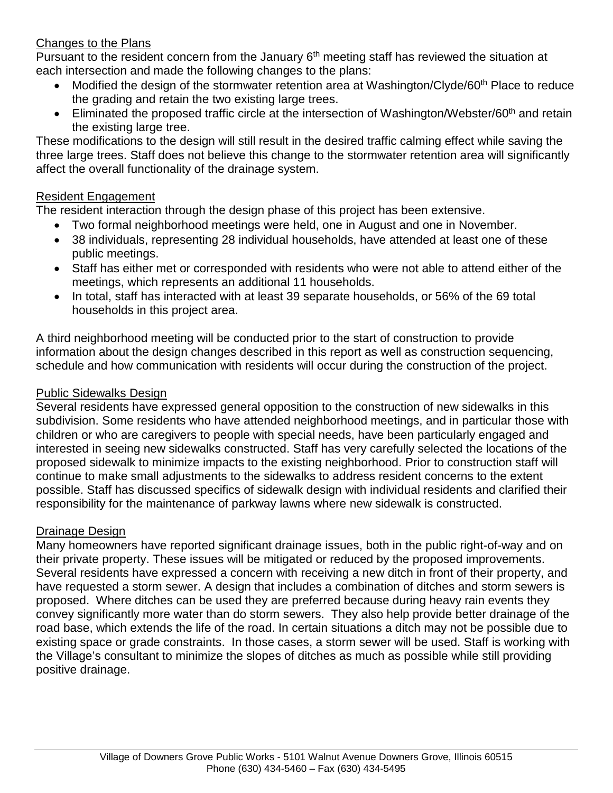### Changes to the Plans

Pursuant to the resident concern from the January 6<sup>th</sup> meeting staff has reviewed the situation at each intersection and made the following changes to the plans:

- Modified the design of the stormwater retention area at Washington/Clyde/60<sup>th</sup> Place to reduce the grading and retain the two existing large trees.
- Eliminated the proposed traffic circle at the intersection of Washington/Webster/60<sup>th</sup> and retain the existing large tree.

These modifications to the design will still result in the desired traffic calming effect while saving the three large trees. Staff does not believe this change to the stormwater retention area will significantly affect the overall functionality of the drainage system.

### Resident Engagement

The resident interaction through the design phase of this project has been extensive.

- Two formal neighborhood meetings were held, one in August and one in November.
- 38 individuals, representing 28 individual households, have attended at least one of these public meetings.
- Staff has either met or corresponded with residents who were not able to attend either of the meetings, which represents an additional 11 households.
- In total, staff has interacted with at least 39 separate households, or 56% of the 69 total households in this project area.

A third neighborhood meeting will be conducted prior to the start of construction to provide information about the design changes described in this report as well as construction sequencing, schedule and how communication with residents will occur during the construction of the project.

### Public Sidewalks Design

Several residents have expressed general opposition to the construction of new sidewalks in this subdivision. Some residents who have attended neighborhood meetings, and in particular those with children or who are caregivers to people with special needs, have been particularly engaged and interested in seeing new sidewalks constructed. Staff has very carefully selected the locations of the proposed sidewalk to minimize impacts to the existing neighborhood. Prior to construction staff will continue to make small adjustments to the sidewalks to address resident concerns to the extent possible. Staff has discussed specifics of sidewalk design with individual residents and clarified their responsibility for the maintenance of parkway lawns where new sidewalk is constructed.

### Drainage Design

Many homeowners have reported significant drainage issues, both in the public right-of-way and on their private property. These issues will be mitigated or reduced by the proposed improvements. Several residents have expressed a concern with receiving a new ditch in front of their property, and have requested a storm sewer. A design that includes a combination of ditches and storm sewers is proposed. Where ditches can be used they are preferred because during heavy rain events they convey significantly more water than do storm sewers. They also help provide better drainage of the road base, which extends the life of the road. In certain situations a ditch may not be possible due to existing space or grade constraints. In those cases, a storm sewer will be used. Staff is working with the Village's consultant to minimize the slopes of ditches as much as possible while still providing positive drainage.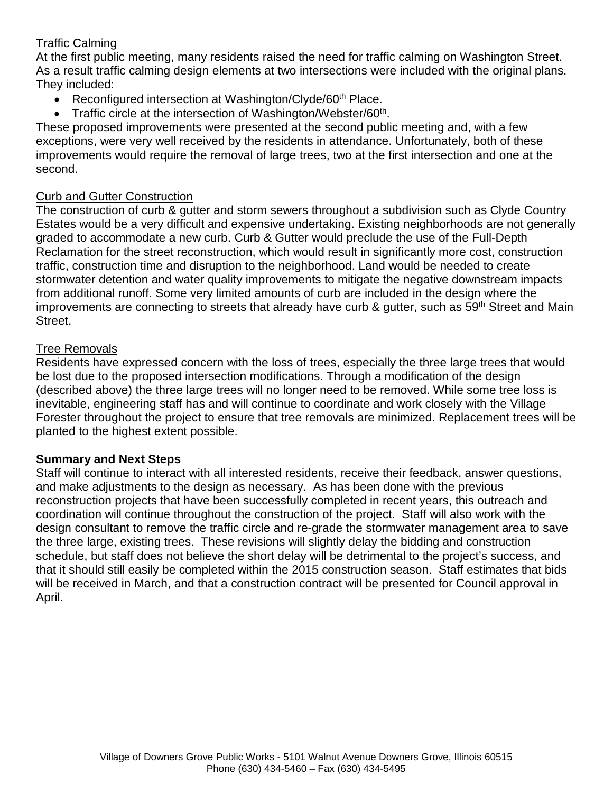## Traffic Calming

At the first public meeting, many residents raised the need for traffic calming on Washington Street. As a result traffic calming design elements at two intersections were included with the original plans. They included:

- Reconfigured intersection at Washington/Clyde/60<sup>th</sup> Place.
- Traffic circle at the intersection of Washington/Webster/60<sup>th</sup>.

These proposed improvements were presented at the second public meeting and, with a few exceptions, were very well received by the residents in attendance. Unfortunately, both of these improvements would require the removal of large trees, two at the first intersection and one at the second.

### Curb and Gutter Construction

The construction of curb & gutter and storm sewers throughout a subdivision such as Clyde Country Estates would be a very difficult and expensive undertaking. Existing neighborhoods are not generally graded to accommodate a new curb. Curb & Gutter would preclude the use of the Full-Depth Reclamation for the street reconstruction, which would result in significantly more cost, construction traffic, construction time and disruption to the neighborhood. Land would be needed to create stormwater detention and water quality improvements to mitigate the negative downstream impacts from additional runoff. Some very limited amounts of curb are included in the design where the improvements are connecting to streets that already have curb & gutter, such as 59<sup>th</sup> Street and Main Street.

### Tree Removals

Residents have expressed concern with the loss of trees, especially the three large trees that would be lost due to the proposed intersection modifications. Through a modification of the design (described above) the three large trees will no longer need to be removed. While some tree loss is inevitable, engineering staff has and will continue to coordinate and work closely with the Village Forester throughout the project to ensure that tree removals are minimized. Replacement trees will be planted to the highest extent possible.

### **Summary and Next Steps**

Staff will continue to interact with all interested residents, receive their feedback, answer questions, and make adjustments to the design as necessary. As has been done with the previous reconstruction projects that have been successfully completed in recent years, this outreach and coordination will continue throughout the construction of the project. Staff will also work with the design consultant to remove the traffic circle and re-grade the stormwater management area to save the three large, existing trees. These revisions will slightly delay the bidding and construction schedule, but staff does not believe the short delay will be detrimental to the project's success, and that it should still easily be completed within the 2015 construction season. Staff estimates that bids will be received in March, and that a construction contract will be presented for Council approval in April.